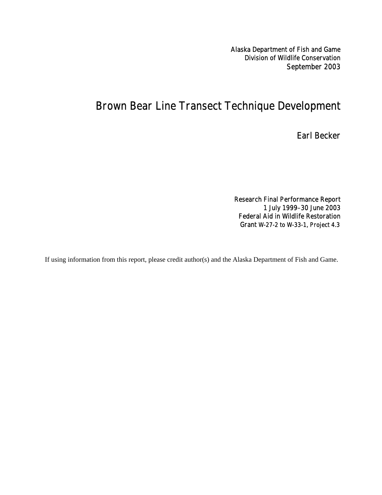Alaska Department of Fish and Game Division of Wildlife Conservation September 2003

# Brown Bear Line Transect Technique Development

Earl Becker

Research Final Performance Report 1 July 1999–30 June 2003 Federal Aid in Wildlife Restoration Grant W-27-2 to W-33-1, Project 4.3

If using information from this report, please credit author(s) and the Alaska Department of Fish and Game.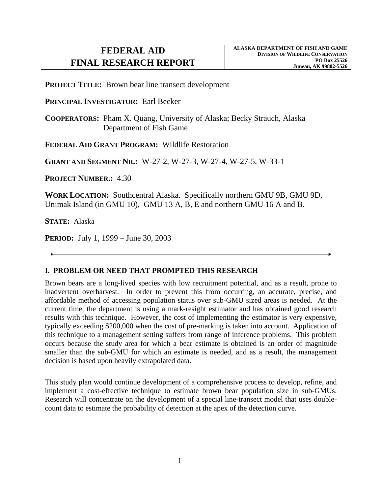**PROJECT TITLE:** Brown bear line transect development

**PRINCIPAL INVESTIGATOR:** Earl Becker

**COOPERATORS:** Pham X. Quang, University of Alaska; Becky Strauch, Alaska Department of Fish Game

**FEDERAL AID GRANT PROGRAM:** Wildlife Restoration

**GRANT AND SEGMENT NR.:** W-27-2, W-27-3, W-27-4, W-27-5, W-33-1

**PROJECT NUMBER.:** 4.30

**WORK LOCATION:** Southcentral Alaska. Specifically northern GMU 9B, GMU 9D, Unimak Island (in GMU 10), GMU 13 A, B, E and northern GMU 16 A and B.

**STATE:** Alaska

**PERIOD:** July 1, 1999 – June 30, 2003

# **I. PROBLEM OR NEED THAT PROMPTED THIS RESEARCH**

Brown bears are a long-lived species with low recruitment potential, and as a result, prone to inadvertent overharvest. In order to prevent this from occurring, an accurate, precise, and affordable method of accessing population status over sub-GMU sized areas is needed. At the current time, the department is using a mark-resight estimator and has obtained good research results with this technique. However, the cost of implementing the estimator is very expensive, typically exceeding \$200,000 when the cost of pre-marking is taken into account. Application of this technique to a management setting suffers from range of inference problems. This problem occurs because the study area for which a bear estimate is obtained is an order of magnitude smaller than the sub-GMU for which an estimate is needed, and as a result, the management decision is based upon heavily extrapolated data.

This study plan would continue development of a comprehensive process to develop, refine, and implement a cost-effective technique to estimate brown bear population size in sub-GMUs. Research will concentrate on the development of a special line-transect model that uses doublecount data to estimate the probability of detection at the apex of the detection curve.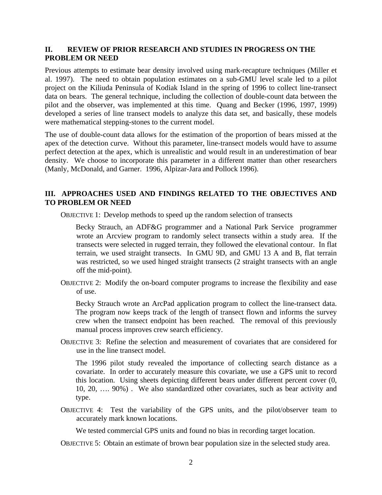# **II. REVIEW OF PRIOR RESEARCH AND STUDIES IN PROGRESS ON THE PROBLEM OR NEED**

Previous attempts to estimate bear density involved using mark-recapture techniques (Miller et al. 1997). The need to obtain population estimates on a sub-GMU level scale led to a pilot project on the Kiliuda Peninsula of Kodiak Island in the spring of 1996 to collect line-transect data on bears. The general technique, including the collection of double-count data between the pilot and the observer, was implemented at this time. Quang and Becker (1996, 1997, 1999) developed a series of line transect models to analyze this data set, and basically, these models were mathematical stepping-stones to the current model.

The use of double-count data allows for the estimation of the proportion of bears missed at the apex of the detection curve. Without this parameter, line-transect models would have to assume perfect detection at the apex, which is unrealistic and would result in an underestimation of bear density. We choose to incorporate this parameter in a different matter than other researchers (Manly, McDonald, and Garner. 1996, Alpizar-Jara and Pollock 1996).

# **III. APPROACHES USED AND FINDINGS RELATED TO THE OBJECTIVES AND TO PROBLEM OR NEED**

OBJECTIVE 1: Develop methods to speed up the random selection of transects

Becky Strauch, an ADF&G programmer and a National Park Service programmer wrote an Arcview program to randomly select transects within a study area. If the transects were selected in rugged terrain, they followed the elevational contour. In flat terrain, we used straight transects. In GMU 9D, and GMU 13 A and B, flat terrain was restricted, so we used hinged straight transects (2 straight transects with an angle off the mid-point).

OBJECTIVE 2: Modify the on-board computer programs to increase the flexibility and ease of use.

Becky Strauch wrote an ArcPad application program to collect the line-transect data. The program now keeps track of the length of transect flown and informs the survey crew when the transect endpoint has been reached. The removal of this previously manual process improves crew search efficiency.

OBJECTIVE 3: Refine the selection and measurement of covariates that are considered for use in the line transect model.

The 1996 pilot study revealed the importance of collecting search distance as a covariate. In order to accurately measure this covariate, we use a GPS unit to record this location. Using sheets depicting different bears under different percent cover (0, 10, 20, …. 90%) . We also standardized other covariates, such as bear activity and type.

OBJECTIVE 4: Test the variability of the GPS units, and the pilot/observer team to accurately mark known locations.

We tested commercial GPS units and found no bias in recording target location.

OBJECTIVE 5: Obtain an estimate of brown bear population size in the selected study area.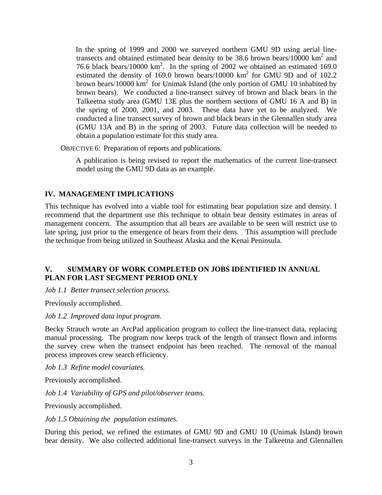In the spring of 1999 and 2000 we surveyed northern GMU 9D using aerial linetransects and obtained estimated bear density to be 38.6 brown bears/10000  $\text{km}^2$  and 76.6 black bears/10000  $km^2$ . In the spring of 2002 we obtained an estimated 169.0 estimated the density of 169.0 brown bears/10000  $km^2$  for GMU 9D and of 102.2 brown bears/10000  $km^2$  for Unimak Island (the only portion of GMU 10 inhabited by brown bears). We conducted a line-transect survey of brown and black bears in the Talkeetna study area (GMU 13E plus the northern sections of GMU 16 A and B) in the spring of 2000, 2001, and 2003. These data have yet to be analyzed. We conducted a line transect survey of brown and black bears in the Glennallen study area (GMU 13A and B) in the spring of 2003. Future data collection will be needed to obtain a population estimate for this study area.

OBJECTIVE 6: Preparation of reports and publications.

A publication is being revised to report the mathematics of the current line-transect model using the GMU 9D data as an example.

# **IV. MANAGEMENT IMPLICATIONS**

This technique has evolved into a viable tool for estimating bear population size and density. I recommend that the department use this technique to obtain bear density estimates in areas of management concern. The assumption that all bears are available to be seen will restrict use to late spring, just prior to the emergence of bears from their dens. This assumption will preclude the technique from being utilized in Southeast Alaska and the Kenai Peninsula.

# **V. SUMMARY OF WORK COMPLETED ON JOBS IDENTIFIED IN ANNUAL PLAN FOR LAST SEGMENT PERIOD ONLY**

*Job 1.1 Better transect selection process.* 

Previously accomplished.

*Job 1.2 Improved data input program.* 

Becky Strauch wrote an ArcPad application program to collect the line-transect data, replacing manual processing. The program now keeps track of the length of transect flown and informs the survey crew when the transect endpoint has been reached. The removal of the manual process improves crew search efficiency.

*Job 1.3 Refine model covariates.* 

Previously accomplished.

*Job 1.4 Variability of GPS and pilot/observer teams.* 

Previously accomplished.

*Job 1.5 Obtaining the population estimates.* 

During this period, we refined the estimates of GMU 9D and GMU 10 (Unimak Island) brown bear density. We also collected additional line-transect surveys in the Talkeetna and Glennallen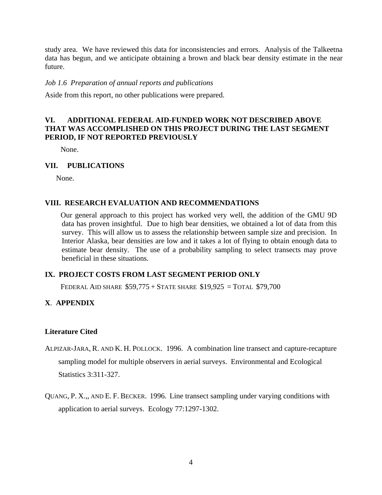study area. We have reviewed this data for inconsistencies and errors. Analysis of the Talkeetna data has begun, and we anticipate obtaining a brown and black bear density estimate in the near future.

#### *Job 1.6 Preparation of annual reports and publications*

Aside from this report, no other publications were prepared.

# **VI. ADDITIONAL FEDERAL AID-FUNDED WORK NOT DESCRIBED ABOVE THAT WAS ACCOMPLISHED ON THIS PROJECT DURING THE LAST SEGMENT PERIOD, IF NOT REPORTED PREVIOUSLY**

None.

#### **VII. PUBLICATIONS**

None.

## **VIII. RESEARCH EVALUATION AND RECOMMENDATIONS**

Our general approach to this project has worked very well, the addition of the GMU 9D data has proven insightful. Due to high bear densities, we obtained a lot of data from this survey. This will allow us to assess the relationship between sample size and precision. In Interior Alaska, bear densities are low and it takes a lot of flying to obtain enough data to estimate bear density. The use of a probability sampling to select transects may prove beneficial in these situations.

#### **IX. PROJECT COSTS FROM LAST SEGMENT PERIOD ONLY**

FEDERAL AID SHARE \$59,775 + STATE SHARE \$19,925 = TOTAL \$79,700

# **X**. **APPENDIX**

### **Literature Cited**

- ALPIZAR-JARA, R. AND K. H. POLLOCK. 1996. A combination line transect and capture-recapture sampling model for multiple observers in aerial surveys. Environmental and Ecological Statistics 3:311-327.
- QUANG, P. X.,, AND E. F. BECKER. 1996. Line transect sampling under varying conditions with application to aerial surveys. Ecology 77:1297-1302.